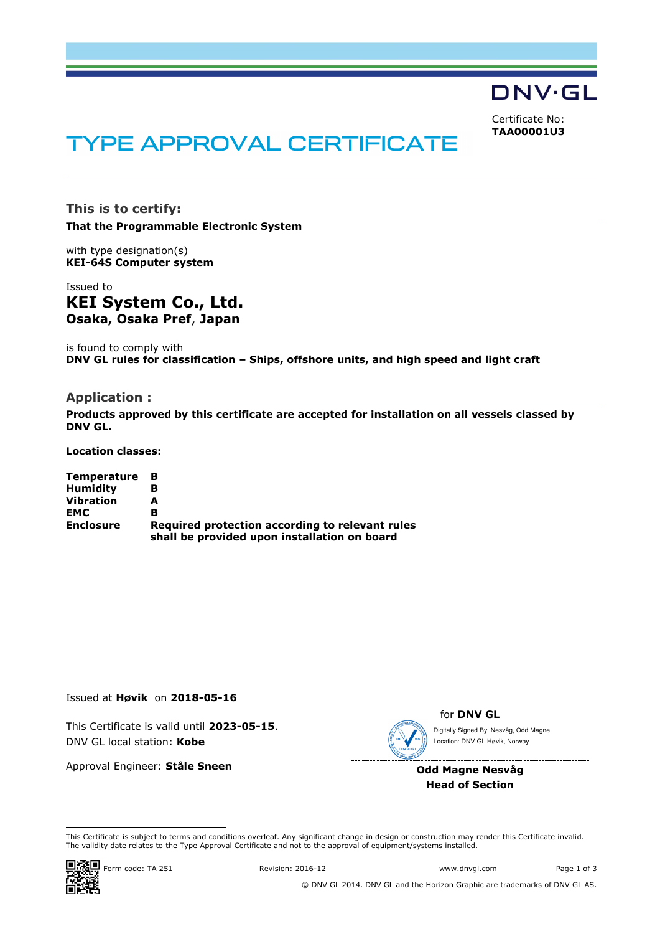**DNV·GL** 

Certificate No: **TAA00001U3**

# **TYPE APPROVAL CERTIFICATE**

**This is to certify:**

**That the Programmable Electronic System**

with type designation(s) **KEI-64S Computer system**

Issued to **KEI System Co., Ltd. Osaka, Osaka Pref**, **Japan**

is found to comply with **DNV GL rules for classification – Ships, offshore units, and high speed and light craft**

## **Application :**

**Products approved by this certificate are accepted for installation on all vessels classed by DNV GL.**

**Location classes:**

| <b>Temperature</b> |                                                                                                 |
|--------------------|-------------------------------------------------------------------------------------------------|
| <b>Humidity</b>    |                                                                                                 |
| <b>Vibration</b>   | А                                                                                               |
| <b>EMC</b>         | B                                                                                               |
| <b>Enclosure</b>   | Required protection according to relevant rules<br>shall be provided upon installation on board |

Issued at **Høvik** on **2018-05-16**

This Certificate is valid until **2023-05-15**. DNV GL local station: **Kobe**

Approval Engineer: **Ståle Sneen**



for **DNV GL**

Digitally Signed By: Nesvåg, Odd Magne Location: DNV GL Høvik, Norway

**Odd Magne Nesvåg Head of Section**

 This Certificate is subject to terms and conditions overleaf. Any significant change in design or construction may render this Certificate invalid. The validity date relates to the Type Approval Certificate and not to the approval of equipment/systems installed.

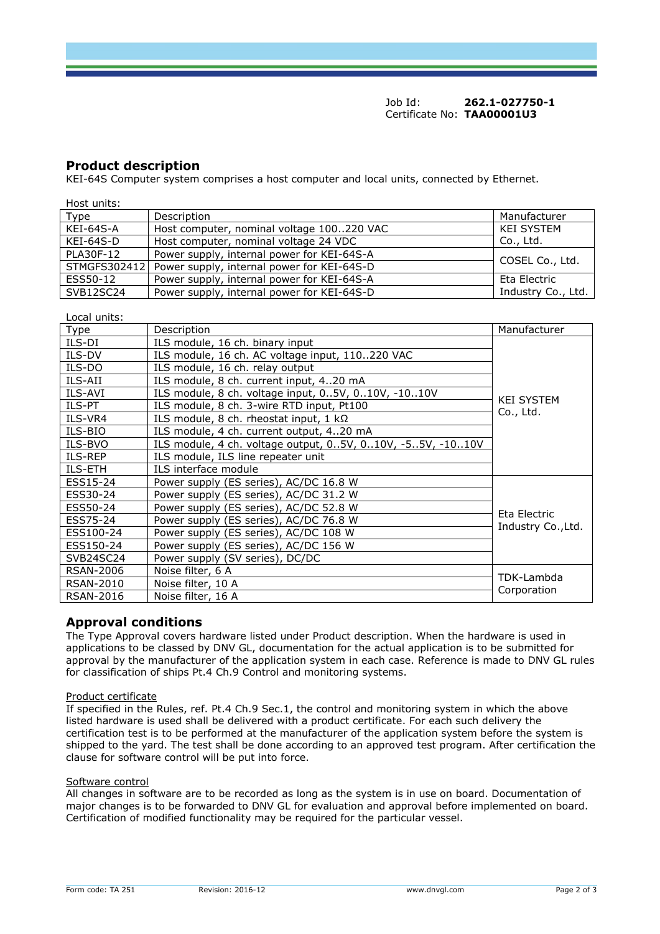Job Id: **262.1-027750-1** Certificate No: **TAA00001U3**

## **Product description**

KEI-64S Computer system comprises a host computer and local units, connected by Ethernet.

| Host units:  |                                            |                    |  |
|--------------|--------------------------------------------|--------------------|--|
| Type         | Description                                | Manufacturer       |  |
| KEI-64S-A    | Host computer, nominal voltage 100220 VAC  | <b>KEI SYSTEM</b>  |  |
| KEI-64S-D    | Host computer, nominal voltage 24 VDC      | Co., Ltd.          |  |
| PLA30F-12    | Power supply, internal power for KEI-64S-A |                    |  |
| STMGFS302412 | Power supply, internal power for KEI-64S-D | COSEL Co., Ltd.    |  |
| ESS50-12     | Power supply, internal power for KEI-64S-A | Eta Electric       |  |
| SVB12SC24    | Power supply, internal power for KEI-64S-D | Industry Co., Ltd. |  |

Local units:

| Type             | Description                                                                                            | Manufacturer       |  |
|------------------|--------------------------------------------------------------------------------------------------------|--------------------|--|
| ILS-DI           | ILS module, 16 ch. binary input                                                                        |                    |  |
| ILS-DV           | ILS module, 16 ch. AC voltage input, 110220 VAC                                                        | <b>KEI SYSTEM</b>  |  |
| ILS-DO           | ILS module, 16 ch. relay output                                                                        |                    |  |
| ILS-AII          | ILS module, 8 ch. current input, 420 mA                                                                |                    |  |
| ILS-AVI          | ILS module, 8 ch. voltage input, 05V, 010V, -1010V                                                     |                    |  |
| ILS-PT           | ILS module, 8 ch. 3-wire RTD input, Pt100                                                              |                    |  |
| ILS-VR4          | Co., Ltd.<br>ILS module, 8 ch. rheostat input, $1 k\Omega$<br>ILS module, 4 ch. current output, 420 mA |                    |  |
| ILS-BIO          |                                                                                                        |                    |  |
| ILS-BVO          | ILS module, 4 ch. voltage output, 05V, 010V, -55V, -1010V                                              |                    |  |
| ILS-REP          | ILS module, ILS line repeater unit                                                                     |                    |  |
| <b>ILS-ETH</b>   | ILS interface module                                                                                   |                    |  |
| ESS15-24         | Power supply (ES series), AC/DC 16.8 W                                                                 |                    |  |
| ESS30-24         | Power supply (ES series), AC/DC 31.2 W                                                                 |                    |  |
| ESS50-24         | Power supply (ES series), AC/DC 52.8 W                                                                 | Eta Electric       |  |
| ESS75-24         | Power supply (ES series), AC/DC 76.8 W                                                                 |                    |  |
| ESS100-24        | Power supply (ES series), AC/DC 108 W                                                                  | Industry Co., Ltd. |  |
| ESS150-24        | Power supply (ES series), AC/DC 156 W                                                                  |                    |  |
| SVB24SC24        | Power supply (SV series), DC/DC                                                                        |                    |  |
| <b>RSAN-2006</b> | Noise filter, 6 A                                                                                      |                    |  |
| <b>RSAN-2010</b> | Noise filter, 10 A                                                                                     | TDK-Lambda         |  |
| <b>RSAN-2016</b> | Noise filter, 16 A                                                                                     | Corporation        |  |

# **Approval conditions**

The Type Approval covers hardware listed under Product description. When the hardware is used in applications to be classed by DNV GL, documentation for the actual application is to be submitted for approval by the manufacturer of the application system in each case. Reference is made to DNV GL rules for classification of ships Pt.4 Ch.9 Control and monitoring systems.

#### Product certificate

If specified in the Rules, ref. Pt.4 Ch.9 Sec.1, the control and monitoring system in which the above listed hardware is used shall be delivered with a product certificate. For each such delivery the certification test is to be performed at the manufacturer of the application system before the system is shipped to the yard. The test shall be done according to an approved test program. After certification the clause for software control will be put into force.

#### Software control

All changes in software are to be recorded as long as the system is in use on board. Documentation of major changes is to be forwarded to DNV GL for evaluation and approval before implemented on board. Certification of modified functionality may be required for the particular vessel.